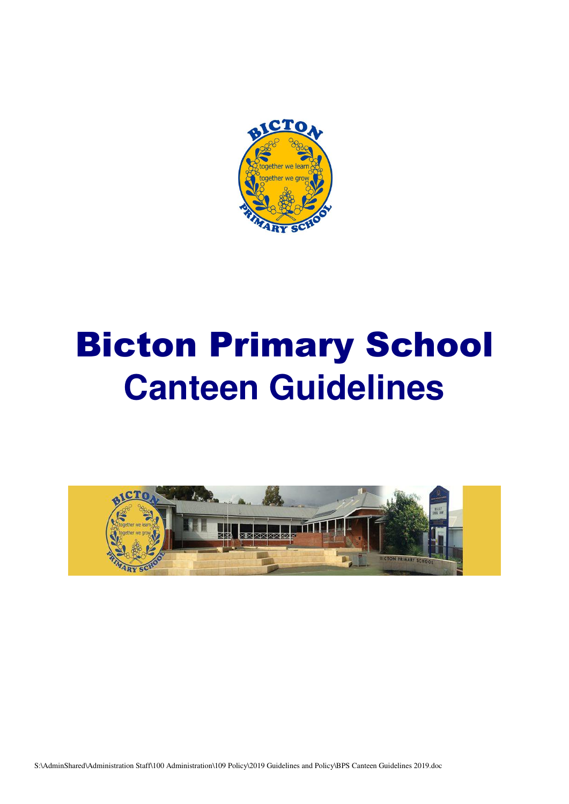

# Bicton Primary School **Canteen Guidelines**



S:\AdminShared\Administration Staff\100 Administration\109 Policy\2019 Guidelines and Policy\BPS Canteen Guidelines 2019.doc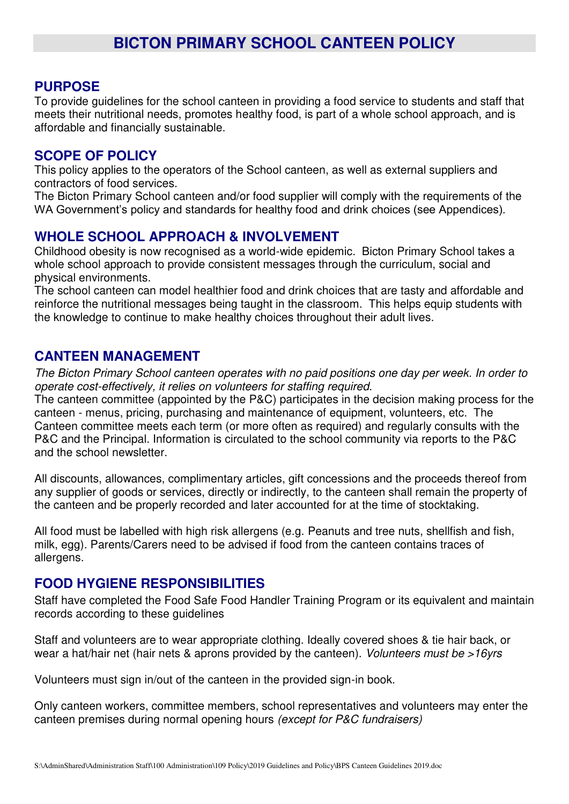## **PURPOSE**

To provide guidelines for the school canteen in providing a food service to students and staff that meets their nutritional needs, promotes healthy food, is part of a whole school approach, and is affordable and financially sustainable.

### **SCOPE OF POLICY**

This policy applies to the operators of the School canteen, as well as external suppliers and contractors of food services.

The Bicton Primary School canteen and/or food supplier will comply with the requirements of the WA Government's policy and standards for healthy food and drink choices (see Appendices).

### **WHOLE SCHOOL APPROACH & INVOLVEMENT**

Childhood obesity is now recognised as a world-wide epidemic. Bicton Primary School takes a whole school approach to provide consistent messages through the curriculum, social and physical environments.

The school canteen can model healthier food and drink choices that are tasty and affordable and reinforce the nutritional messages being taught in the classroom. This helps equip students with the knowledge to continue to make healthy choices throughout their adult lives.

## **CANTEEN MANAGEMENT**

*The Bicton Primary School canteen operates with no paid positions one day per week. In order to operate cost-effectively, it relies on volunteers for staffing required.* 

The canteen committee (appointed by the P&C) participates in the decision making process for the canteen - menus, pricing, purchasing and maintenance of equipment, volunteers, etc. The Canteen committee meets each term (or more often as required) and regularly consults with the P&C and the Principal. Information is circulated to the school community via reports to the P&C and the school newsletter.

All discounts, allowances, complimentary articles, gift concessions and the proceeds thereof from any supplier of goods or services, directly or indirectly, to the canteen shall remain the property of the canteen and be properly recorded and later accounted for at the time of stocktaking.

All food must be labelled with high risk allergens (e.g. Peanuts and tree nuts, shellfish and fish, milk, egg). Parents/Carers need to be advised if food from the canteen contains traces of allergens.

### **FOOD HYGIENE RESPONSIBILITIES**

Staff have completed the Food Safe Food Handler Training Program or its equivalent and maintain records according to these guidelines

Staff and volunteers are to wear appropriate clothing. Ideally covered shoes & tie hair back, or wear a hat/hair net (hair nets & aprons provided by the canteen). *Volunteers must be >16yrs* 

Volunteers must sign in/out of the canteen in the provided sign-in book.

Only canteen workers, committee members, school representatives and volunteers may enter the canteen premises during normal opening hours *(except for P&C fundraisers)*